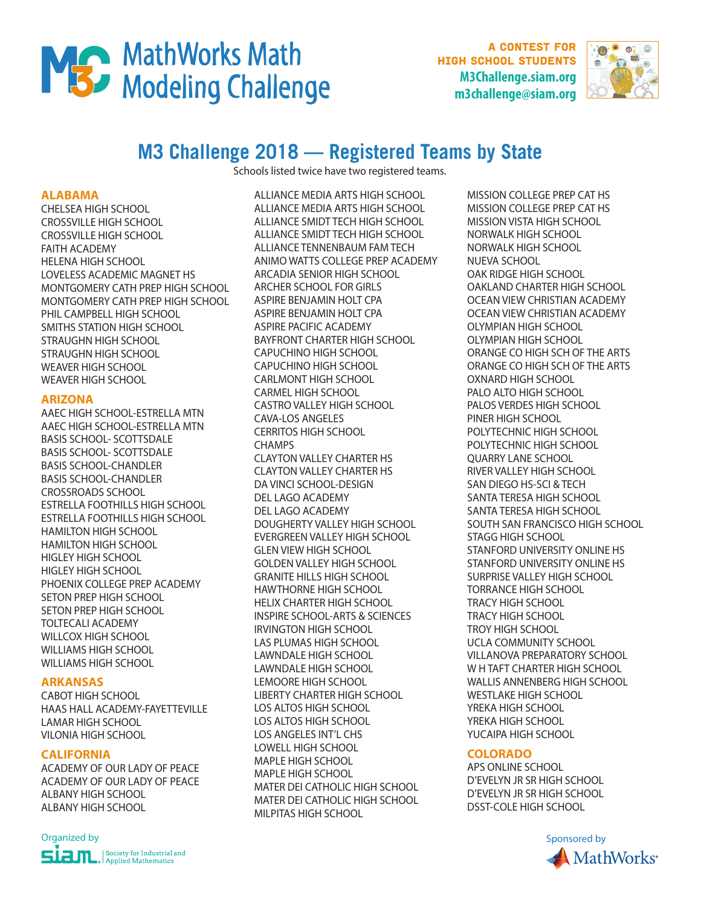

A contest for high school students **M3Challenge.siam.org m3challenge@siam.org**



# **M3 Challenge 2018 — Registered Teams by State**

Schools listed twice have two registered teams.

#### **ALABAMA**

CHELSEA HIGH SCHOOL CROSSVILLE HIGH SCHOOL CROSSVILLE HIGH SCHOOL FAITH ACADEMY HELENA HIGH SCHOOL LOVELESS ACADEMIC MAGNET HS MONTGOMERY CATH PREP HIGH SCHOOL MONTGOMERY CATH PREP HIGH SCHOOL PHIL CAMPBELL HIGH SCHOOL SMITHS STATION HIGH SCHOOL STRAUGHN HIGH SCHOOL STRAUGHN HIGH SCHOOL WEAVER HIGH SCHOOL WEAVER HIGH SCHOOL

#### **ARIZONA**

AAEC HIGH SCHOOL-ESTRELLA MTN AAEC HIGH SCHOOL-ESTRELLA MTN BASIS SCHOOL- SCOTTSDALE BASIS SCHOOL- SCOTTSDALE BASIS SCHOOL-CHANDLER BASIS SCHOOL-CHANDLER CROSSROADS SCHOOL ESTRELLA FOOTHILLS HIGH SCHOOL ESTRELLA FOOTHILLS HIGH SCHOOL HAMILTON HIGH SCHOOL HAMILTON HIGH SCHOOL HIGLEY HIGH SCHOOL HIGLEY HIGH SCHOOL PHOENIX COLLEGE PREP ACADEMY SETON PREP HIGH SCHOOL SETON PREP HIGH SCHOOL TOLTECALI ACADEMY WILLCOX HIGH SCHOOL WILLIAMS HIGH SCHOOL WILLIAMS HIGH SCHOOL

## **ARKANSAS**

CABOT HIGH SCHOOL HAAS HALL ACADEMY-FAYETTEVILLE LAMAR HIGH SCHOOL VILONIA HIGH SCHOOL

## **CALIFORNIA**

ACADEMY OF OUR LADY OF PEACE ACADEMY OF OUR LADY OF PEACE ALBANY HIGH SCHOOL ALBANY HIGH SCHOOL

## Organized by Sponsored by Sponsored by Sponsored by Sponsored by Sponsored by Sponsored by Sponsored by Sponsored by Sponsored by Sponsored by Sponsored by Sponsored by Sponsored by Sponsored by Sponsored by Sponsored by S  $\begin{array}{c} \big|\operatorname{\it Society for Industrial}\operatorname{\it and} \\ \operatorname{\it Applied Mathematics}\end{array}$

ALLIANCE MEDIA ARTS HIGH SCHOOL ALLIANCE MEDIA ARTS HIGH SCHOOL ALLIANCE SMIDT TECH HIGH SCHOOL ALLIANCE SMIDT TECH HIGH SCHOOL ALLIANCE TENNENBAUM FAM TECH ANIMO WATTS COLLEGE PREP ACADEMY ARCADIA SENIOR HIGH SCHOOL ARCHER SCHOOL FOR GIRLS ASPIRE BENJAMIN HOLT CPA ASPIRE BENJAMIN HOLT CPA ASPIRE PACIFIC ACADEMY BAYFRONT CHARTER HIGH SCHOOL CAPUCHINO HIGH SCHOOL CAPUCHINO HIGH SCHOOL CARLMONT HIGH SCHOOL CARMEL HIGH SCHOOL CASTRO VALLEY HIGH SCHOOL CAVA-LOS ANGELES CERRITOS HIGH SCHOOL **CHAMPS** CLAYTON VALLEY CHARTER HS CLAYTON VALLEY CHARTER HS DA VINCI SCHOOL-DESIGN DEL LAGO ACADEMY DEL LAGO ACADEMY DOUGHERTY VALLEY HIGH SCHOOL EVERGREEN VALLEY HIGH SCHOOL GLEN VIEW HIGH SCHOOL GOLDEN VALLEY HIGH SCHOOL GRANITE HILLS HIGH SCHOOL HAWTHORNE HIGH SCHOOL HELIX CHARTER HIGH SCHOOL INSPIRE SCHOOL-ARTS & SCIENCES IRVINGTON HIGH SCHOOL LAS PLUMAS HIGH SCHOOL LAWNDALE HIGH SCHOOL LAWNDALE HIGH SCHOOL LEMOORE HIGH SCHOOL LIBERTY CHARTER HIGH SCHOOL LOS ALTOS HIGH SCHOOL LOS ALTOS HIGH SCHOOL LOS ANGELES INT'L CHS LOWELL HIGH SCHOOL MAPLE HIGH SCHOOL MAPLE HIGH SCHOOL MATER DEI CATHOLIC HIGH SCHOOL MATER DEI CATHOLIC HIGH SCHOOL MILPITAS HIGH SCHOOL

MISSION COLLEGE PREP CAT HS MISSION COLLEGE PREP CAT HS MISSION VISTA HIGH SCHOOL NORWALK HIGH SCHOOL NORWALK HIGH SCHOOL NUEVA SCHOOL OAK RIDGE HIGH SCHOOL OAKLAND CHARTER HIGH SCHOOL OCEAN VIEW CHRISTIAN ACADEMY OCEAN VIEW CHRISTIAN ACADEMY OLYMPIAN HIGH SCHOOL OLYMPIAN HIGH SCHOOL ORANGE CO HIGH SCH OF THE ARTS ORANGE CO HIGH SCH OF THE ARTS OXNARD HIGH SCHOOL PALO ALTO HIGH SCHOOL PALOS VERDES HIGH SCHOOL PINER HIGH SCHOOL POLYTECHNIC HIGH SCHOOL POLYTECHNIC HIGH SCHOOL QUARRY LANE SCHOOL RIVER VALLEY HIGH SCHOOL SAN DIEGO HS-SCI & TECH SANTA TERESA HIGH SCHOOL SANTA TERESA HIGH SCHOOL SOUTH SAN FRANCISCO HIGH SCHOOL STAGG HIGH SCHOOL STANFORD UNIVERSITY ONLINE HS STANFORD UNIVERSITY ONLINE HS SURPRISE VALLEY HIGH SCHOOL TORRANCE HIGH SCHOOL TRACY HIGH SCHOOL TRACY HIGH SCHOOL TROY HIGH SCHOOL UCLA COMMUNITY SCHOOL VILLANOVA PREPARATORY SCHOOL W H TAFT CHARTER HIGH SCHOOL WALLIS ANNENBERG HIGH SCHOOL WESTLAKE HIGH SCHOOL YREKA HIGH SCHOOL YREKA HIGH SCHOOL YUCAIPA HIGH SCHOOL

#### **COLORADO**

APS ONLINE SCHOOL D'EVELYN JR SR HIGH SCHOOL D'EVELYN JR SR HIGH SCHOOL DSST-COLE HIGH SCHOOL

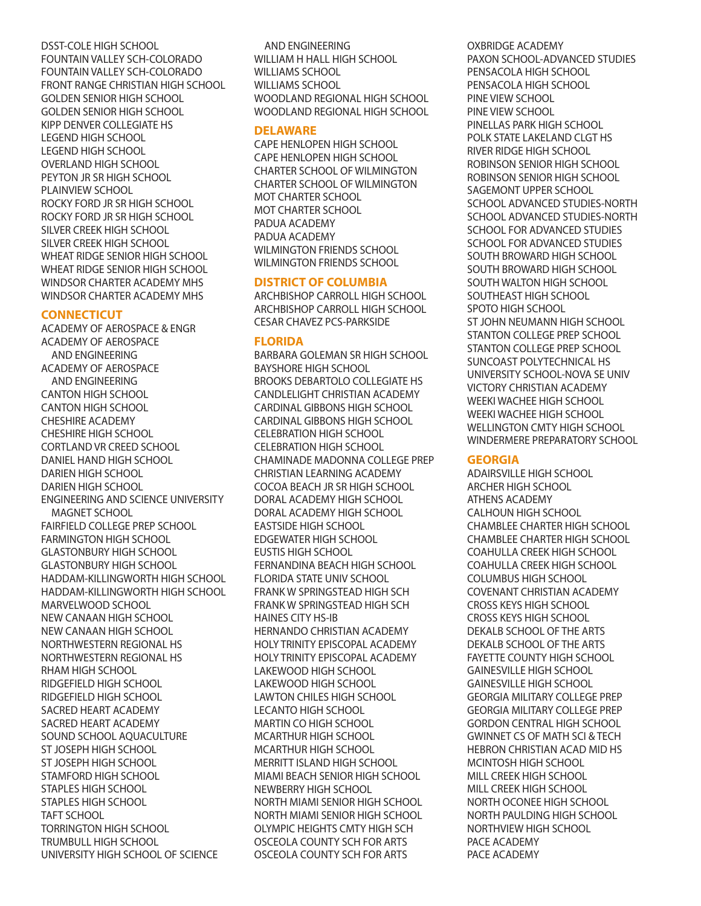DSST-COLE HIGH SCHOOL FOUNTAIN VALLEY SCH-COLORADO FOUNTAIN VALLEY SCH-COLORADO FRONT RANGE CHRISTIAN HIGH SCHOOL GOLDEN SENIOR HIGH SCHOOL GOLDEN SENIOR HIGH SCHOOL KIPP DENVER COLLEGIATE HS LEGEND HIGH SCHOOL LEGEND HIGH SCHOOL OVERLAND HIGH SCHOOL PEYTON JR SR HIGH SCHOOL PLAINVIEW SCHOOL ROCKY FORD JR SR HIGH SCHOOL ROCKY FORD JR SR HIGH SCHOOL SILVER CREEK HIGH SCHOOL SILVER CREEK HIGH SCHOOL WHEAT RIDGE SENIOR HIGH SCHOOL WHEAT RIDGE SENIOR HIGH SCHOOL WINDSOR CHARTER ACADEMY MHS WINDSOR CHARTER ACADEMY MHS

#### **CONNECTICUT**

ACADEMY OF AEROSPACE & ENGR ACADEMY OF AEROSPACE AND ENGINEERING ACADEMY OF AEROSPACE AND ENGINEERING CANTON HIGH SCHOOL CANTON HIGH SCHOOL CHESHIRE ACADEMY CHESHIRE HIGH SCHOOL CORTLAND VR CREED SCHOOL DANIEL HAND HIGH SCHOOL DARIEN HIGH SCHOOL DARIEN HIGH SCHOOL ENGINEERING AND SCIENCE UNIVERSITY MAGNET SCHOOL FAIRFIELD COLLEGE PREP SCHOOL FARMINGTON HIGH SCHOOL GLASTONBURY HIGH SCHOOL GLASTONBURY HIGH SCHOOL HADDAM-KILLINGWORTH HIGH SCHOOL HADDAM-KILLINGWORTH HIGH SCHOOL MARVELWOOD SCHOOL NEW CANAAN HIGH SCHOOL NEW CANAAN HIGH SCHOOL NORTHWESTERN REGIONAL HS NORTHWESTERN REGIONAL HS RHAM HIGH SCHOOL RIDGEFIELD HIGH SCHOOL RIDGEFIELD HIGH SCHOOL SACRED HEART ACADEMY SACRED HEART ACADEMY SOUND SCHOOL AQUACULTURE ST JOSEPH HIGH SCHOOL ST JOSEPH HIGH SCHOOL STAMFORD HIGH SCHOOL STAPLES HIGH SCHOOL STAPLES HIGH SCHOOL TAFT SCHOOL TORRINGTON HIGH SCHOOL TRUMBULL HIGH SCHOOL UNIVERSITY HIGH SCHOOL OF SCIENCE

AND ENGINEERING WILLIAM H HALL HIGH SCHOOL WILLIAMS SCHOOL WILLIAMS SCHOOL WOODLAND REGIONAL HIGH SCHOOL WOODLAND REGIONAL HIGH SCHOOL

#### **DELAWARE**

CAPE HENLOPEN HIGH SCHOOL CAPE HENLOPEN HIGH SCHOOL CHARTER SCHOOL OF WILMINGTON CHARTER SCHOOL OF WILMINGTON MOT CHARTER SCHOOL MOT CHARTER SCHOOL PADUA ACADEMY PADUA ACADEMY WILMINGTON FRIENDS SCHOOL WILMINGTON FRIENDS SCHOOL

## **DISTRICT OF COLUMBIA**

ARCHBISHOP CARROLL HIGH SCHOOL ARCHBISHOP CARROLL HIGH SCHOOL CESAR CHAVEZ PCS-PARKSIDE

## **FLORIDA**

BARBARA GOLEMAN SR HIGH SCHOOL BAYSHORE HIGH SCHOOL BROOKS DEBARTOLO COLLEGIATE HS CANDLELIGHT CHRISTIAN ACADEMY CARDINAL GIBBONS HIGH SCHOOL CARDINAL GIBBONS HIGH SCHOOL CELEBRATION HIGH SCHOOL CELEBRATION HIGH SCHOOL CHAMINADE MADONNA COLLEGE PREP CHRISTIAN LEARNING ACADEMY COCOA BEACH JR SR HIGH SCHOOL DORAL ACADEMY HIGH SCHOOL DORAL ACADEMY HIGH SCHOOL EASTSIDE HIGH SCHOOL EDGEWATER HIGH SCHOOL EUSTIS HIGH SCHOOL FERNANDINA BEACH HIGH SCHOOL FLORIDA STATE UNIV SCHOOL FRANK W SPRINGSTEAD HIGH SCH FRANK W SPRINGSTEAD HIGH SCH HAINES CITY HS-IB HERNANDO CHRISTIAN ACADEMY HOLY TRINITY EPISCOPAL ACADEMY HOLY TRINITY EPISCOPAL ACADEMY LAKEWOOD HIGH SCHOOL LAKEWOOD HIGH SCHOOL LAWTON CHILES HIGH SCHOOL LECANTO HIGH SCHOOL MARTIN CO HIGH SCHOOL MCARTHUR HIGH SCHOOL MCARTHUR HIGH SCHOOL MERRITT ISLAND HIGH SCHOOL MIAMI BEACH SENIOR HIGH SCHOOL NEWBERRY HIGH SCHOOL NORTH MIAMI SENIOR HIGH SCHOOL NORTH MIAMI SENIOR HIGH SCHOOL OLYMPIC HEIGHTS CMTY HIGH SCH OSCEOLA COUNTY SCH FOR ARTS OSCEOLA COUNTY SCH FOR ARTS

OXBRIDGE ACADEMY PAXON SCHOOL-ADVANCED STUDIES PENSACOLA HIGH SCHOOL PENSACOLA HIGH SCHOOL PINE VIEW SCHOOL PINE VIEW SCHOOL PINELLAS PARK HIGH SCHOOL POLK STATE LAKELAND CLGT HS RIVER RIDGE HIGH SCHOOL ROBINSON SENIOR HIGH SCHOOL ROBINSON SENIOR HIGH SCHOOL SAGEMONT UPPER SCHOOL SCHOOL ADVANCED STUDIES-NORTH SCHOOL ADVANCED STUDIES-NORTH SCHOOL FOR ADVANCED STUDIES SCHOOL FOR ADVANCED STUDIES SOUTH BROWARD HIGH SCHOOL SOUTH BROWARD HIGH SCHOOL SOUTH WALTON HIGH SCHOOL SOUTHEAST HIGH SCHOOL SPOTO HIGH SCHOOL ST JOHN NEUMANN HIGH SCHOOL STANTON COLLEGE PREP SCHOOL STANTON COLLEGE PREP SCHOOL SUNCOAST POLYTECHNICAL HS UNIVERSITY SCHOOL-NOVA SE UNIV VICTORY CHRISTIAN ACADEMY WEEKI WACHEE HIGH SCHOOL WEEKI WACHEE HIGH SCHOOL WELLINGTON CMTY HIGH SCHOOL WINDERMERE PREPARATORY SCHOOL

## **GEORGIA**

ADAIRSVILLE HIGH SCHOOL ARCHER HIGH SCHOOL ATHENS ACADEMY CALHOUN HIGH SCHOOL CHAMBLEE CHARTER HIGH SCHOOL CHAMBLEE CHARTER HIGH SCHOOL COAHULLA CREEK HIGH SCHOOL COAHULLA CREEK HIGH SCHOOL COLUMBUS HIGH SCHOOL COVENANT CHRISTIAN ACADEMY CROSS KEYS HIGH SCHOOL CROSS KEYS HIGH SCHOOL DEKALB SCHOOL OF THE ARTS DEKALB SCHOOL OF THE ARTS FAYETTE COUNTY HIGH SCHOOL GAINESVILLE HIGH SCHOOL GAINESVILLE HIGH SCHOOL GEORGIA MILITARY COLLEGE PREP GEORGIA MILITARY COLLEGE PREP GORDON CENTRAL HIGH SCHOOL GWINNET CS OF MATH SCI & TECH HEBRON CHRISTIAN ACAD MID HS MCINTOSH HIGH SCHOOL MILL CREEK HIGH SCHOOL MILL CREEK HIGH SCHOOL NORTH OCONEE HIGH SCHOOL NORTH PAULDING HIGH SCHOOL NORTHVIEW HIGH SCHOOL PACE ACADEMY PACE ACADEMY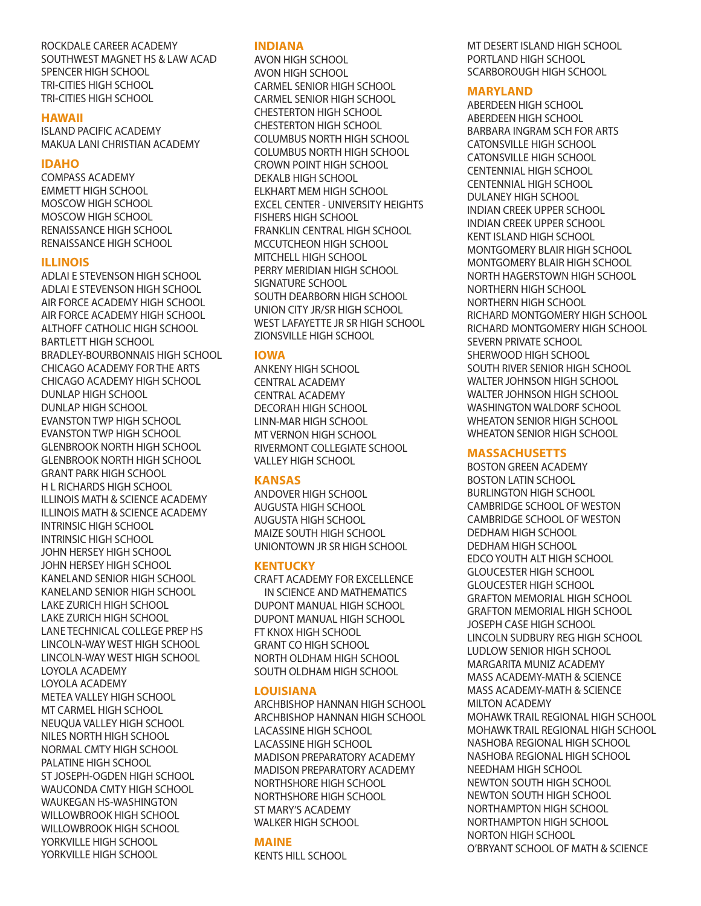## ROCKDALE CAREER ACADEMY SOUTHWEST MAGNET HS & LAW ACAD SPENCER HIGH SCHOOL TRI-CITIES HIGH SCHOOL TRI-CITIES HIGH SCHOOL

## **HAWAII**

ISLAND PACIFIC ACADEMY MAKUA LANI CHRISTIAN ACADEMY

## **IDAHO**

COMPASS ACADEMY EMMETT HIGH SCHOOL MOSCOW HIGH SCHOOL MOSCOW HIGH SCHOOL RENAISSANCE HIGH SCHOOL RENAISSANCE HIGH SCHOOL

## **ILLINOIS**

ADLAI E STEVENSON HIGH SCHOOL ADLAI E STEVENSON HIGH SCHOOL AIR FORCE ACADEMY HIGH SCHOOL AIR FORCE ACADEMY HIGH SCHOOL ALTHOFF CATHOLIC HIGH SCHOOL BARTLETT HIGH SCHOOL BRADLEY-BOURBONNAIS HIGH SCHOOL CHICAGO ACADEMY FOR THE ARTS CHICAGO ACADEMY HIGH SCHOOL DUNLAP HIGH SCHOOL DUNLAP HIGH SCHOOL EVANSTON TWP HIGH SCHOOL EVANSTON TWP HIGH SCHOOL GLENBROOK NORTH HIGH SCHOOL GLENBROOK NORTH HIGH SCHOOL GRANT PARK HIGH SCHOOL H L RICHARDS HIGH SCHOOL ILLINOIS MATH & SCIENCE ACADEMY ILLINOIS MATH & SCIENCE ACADEMY INTRINSIC HIGH SCHOOL INTRINSIC HIGH SCHOOL JOHN HERSEY HIGH SCHOOL JOHN HERSEY HIGH SCHOOL KANELAND SENIOR HIGH SCHOOL KANELAND SENIOR HIGH SCHOOL LAKE ZURICH HIGH SCHOOL LAKE ZURICH HIGH SCHOOL LANE TECHNICAL COLLEGE PREP HS LINCOLN-WAY WEST HIGH SCHOOL LINCOLN-WAY WEST HIGH SCHOOL LOYOLA ACADEMY LOYOLA ACADEMY METEA VALLEY HIGH SCHOOL MT CARMEL HIGH SCHOOL NEUQUA VALLEY HIGH SCHOOL NILES NORTH HIGH SCHOOL NORMAL CMTY HIGH SCHOOL PALATINE HIGH SCHOOL ST JOSEPH-OGDEN HIGH SCHOOL WAUCONDA CMTY HIGH SCHOOL WAUKEGAN HS-WASHINGTON WILLOWBROOK HIGH SCHOOL WILLOWBROOK HIGH SCHOOL YORKVILLE HIGH SCHOOL YORKVILLE HIGH SCHOOL

## **INDIANA**

AVON HIGH SCHOOL AVON HIGH SCHOOL CARMEL SENIOR HIGH SCHOOL CARMEL SENIOR HIGH SCHOOL CHESTERTON HIGH SCHOOL CHESTERTON HIGH SCHOOL COLUMBUS NORTH HIGH SCHOOL COLUMBUS NORTH HIGH SCHOOL CROWN POINT HIGH SCHOOL DEKALB HIGH SCHOOL ELKHART MEM HIGH SCHOOL EXCEL CENTER - UNIVERSITY HEIGHTS FISHERS HIGH SCHOOL FRANKLIN CENTRAL HIGH SCHOOL MCCUTCHEON HIGH SCHOOL MITCHELL HIGH SCHOOL PERRY MERIDIAN HIGH SCHOOL SIGNATURE SCHOOL SOUTH DEARBORN HIGH SCHOOL UNION CITY JR/SR HIGH SCHOOL WEST LAFAYETTE JR SR HIGH SCHOOL ZIONSVILLE HIGH SCHOOL

## **IOWA**

ANKENY HIGH SCHOOL CENTRAL ACADEMY CENTRAL ACADEMY DECORAH HIGH SCHOOL LINN-MAR HIGH SCHOOL MT VERNON HIGH SCHOOL RIVERMONT COLLEGIATE SCHOOL VALLEY HIGH SCHOOL

## **KANSAS**

ANDOVER HIGH SCHOOL AUGUSTA HIGH SCHOOL AUGUSTA HIGH SCHOOL MAIZE SOUTH HIGH SCHOOL UNIONTOWN JR SR HIGH SCHOOL

## **KENTUCKY**

CRAFT ACADEMY FOR EXCELLENCE IN SCIENCE AND MATHEMATICS DUPONT MANUAL HIGH SCHOOL DUPONT MANUAL HIGH SCHOOL FT KNOX HIGH SCHOOL GRANT CO HIGH SCHOOL NORTH OLDHAM HIGH SCHOOL SOUTH OLDHAM HIGH SCHOOL

## **LOUISIANA**

ARCHBISHOP HANNAN HIGH SCHOOL ARCHBISHOP HANNAN HIGH SCHOOL LACASSINE HIGH SCHOOL LACASSINE HIGH SCHOOL MADISON PREPARATORY ACADEMY MADISON PREPARATORY ACADEMY NORTHSHORE HIGH SCHOOL NORTHSHORE HIGH SCHOOL ST MARY'S ACADEMY WALKER HIGH SCHOOL

## **MAINE**

KENTS HILL SCHOOL

MT DESERT ISLAND HIGH SCHOOL PORTLAND HIGH SCHOOL SCARBOROUGH HIGH SCHOOL

## **MARYLAND**

ABERDEEN HIGH SCHOOL ABERDEEN HIGH SCHOOL BARBARA INGRAM SCH FOR ARTS CATONSVILLE HIGH SCHOOL CATONSVILLE HIGH SCHOOL CENTENNIAL HIGH SCHOOL CENTENNIAL HIGH SCHOOL DULANEY HIGH SCHOOL INDIAN CREEK UPPER SCHOOL INDIAN CREEK UPPER SCHOOL KENT ISLAND HIGH SCHOOL MONTGOMERY BLAIR HIGH SCHOOL MONTGOMERY BLAIR HIGH SCHOOL NORTH HAGERSTOWN HIGH SCHOOL NORTHERN HIGH SCHOOL NORTHERN HIGH SCHOOL RICHARD MONTGOMERY HIGH SCHOOL RICHARD MONTGOMERY HIGH SCHOOL SEVERN PRIVATE SCHOOL SHERWOOD HIGH SCHOOL SOUTH RIVER SENIOR HIGH SCHOOL WALTER JOHNSON HIGH SCHOOL WALTER JOHNSON HIGH SCHOOL WASHINGTON WALDORF SCHOOL WHEATON SENIOR HIGH SCHOOL WHEATON SENIOR HIGH SCHOOL

## **MASSACHUSETTS**

BOSTON GREEN ACADEMY BOSTON LATIN SCHOOL BURLINGTON HIGH SCHOOL CAMBRIDGE SCHOOL OF WESTON CAMBRIDGE SCHOOL OF WESTON DEDHAM HIGH SCHOOL DEDHAM HIGH SCHOOL EDCO YOUTH ALT HIGH SCHOOL GLOUCESTER HIGH SCHOOL GLOUCESTER HIGH SCHOOL GRAFTON MEMORIAL HIGH SCHOOL GRAFTON MEMORIAL HIGH SCHOOL JOSEPH CASE HIGH SCHOOL LINCOLN SUDBURY REG HIGH SCHOOL LUDLOW SENIOR HIGH SCHOOL MARGARITA MUNIZ ACADEMY MASS ACADEMY-MATH & SCIENCE MASS ACADEMY-MATH & SCIENCE MILTON ACADEMY MOHAWK TRAIL REGIONAL HIGH SCHOOL MOHAWK TRAIL REGIONAL HIGH SCHOOL NASHOBA REGIONAL HIGH SCHOOL NASHOBA REGIONAL HIGH SCHOOL NEEDHAM HIGH SCHOOL NEWTON SOUTH HIGH SCHOOL NEWTON SOUTH HIGH SCHOOL NORTHAMPTON HIGH SCHOOL NORTHAMPTON HIGH SCHOOL NORTON HIGH SCHOOL O'BRYANT SCHOOL OF MATH & SCIENCE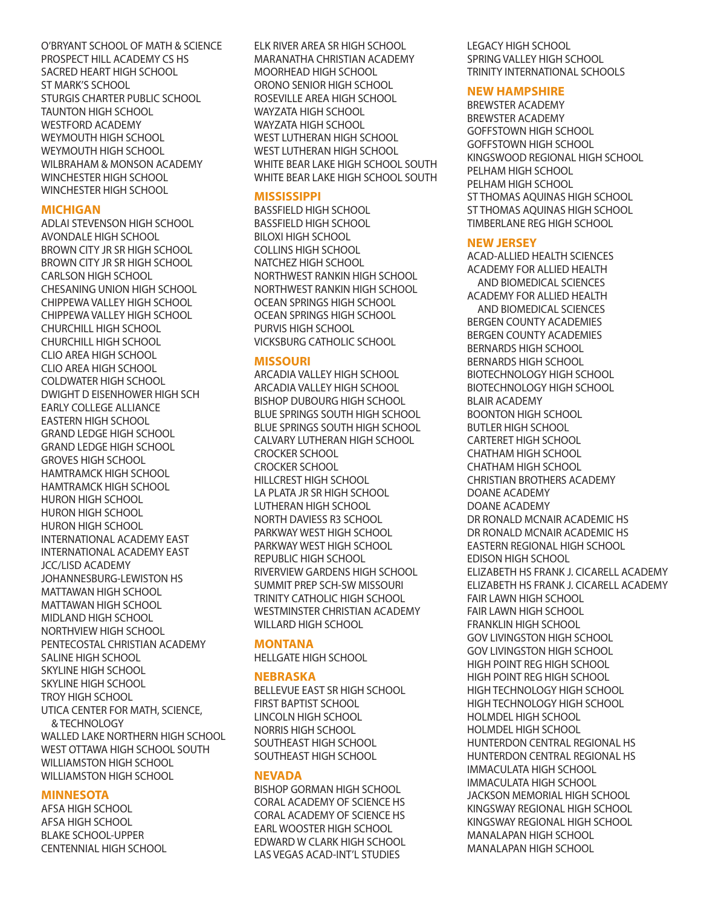O'BRYANT SCHOOL OF MATH & SCIENCE PROSPECT HILL ACADEMY CS HS SACRED HEART HIGH SCHOOL ST MARK'S SCHOOL STURGIS CHARTER PUBLIC SCHOOL TAUNTON HIGH SCHOOL WESTFORD ACADEMY WEYMOUTH HIGH SCHOOL WEYMOUTH HIGH SCHOOL WILBRAHAM & MONSON ACADEMY WINCHESTER HIGH SCHOOL WINCHESTER HIGH SCHOOL

#### **MICHIGAN**

ADLAI STEVENSON HIGH SCHOOL AVONDALE HIGH SCHOOL BROWN CITY JR SR HIGH SCHOOL BROWN CITY JR SR HIGH SCHOOL CARLSON HIGH SCHOOL CHESANING UNION HIGH SCHOOL CHIPPEWA VALLEY HIGH SCHOOL CHIPPEWA VALLEY HIGH SCHOOL CHURCHILL HIGH SCHOOL CHURCHILL HIGH SCHOOL CLIO AREA HIGH SCHOOL CLIO AREA HIGH SCHOOL COLDWATER HIGH SCHOOL DWIGHT D EISENHOWER HIGH SCH EARLY COLLEGE ALLIANCE EASTERN HIGH SCHOOL GRAND LEDGE HIGH SCHOOL GRAND LEDGE HIGH SCHOOL GROVES HIGH SCHOOL HAMTRAMCK HIGH SCHOOL HAMTRAMCK HIGH SCHOOL HURON HIGH SCHOOL HURON HIGH SCHOOL HURON HIGH SCHOOL INTERNATIONAL ACADEMY EAST INTERNATIONAL ACADEMY EAST JCC/LISD ACADEMY JOHANNESBURG-LEWISTON HS MATTAWAN HIGH SCHOOL MATTAWAN HIGH SCHOOL MIDLAND HIGH SCHOOL NORTHVIEW HIGH SCHOOL PENTECOSTAL CHRISTIAN ACADEMY SALINE HIGH SCHOOL SKYLINE HIGH SCHOOL SKYLINE HIGH SCHOOL TROY HIGH SCHOOL UTICA CENTER FOR MATH, SCIENCE, & TECHNOLOGY WALLED LAKE NORTHERN HIGH SCHOOL WEST OTTAWA HIGH SCHOOL SOUTH WILLIAMSTON HIGH SCHOOL WILLIAMSTON HIGH SCHOOL

## **MINNESOTA**

AFSA HIGH SCHOOL AFSA HIGH SCHOOL BLAKE SCHOOL-UPPER CENTENNIAL HIGH SCHOOL

ELK RIVER AREA SR HIGH SCHOOL MARANATHA CHRISTIAN ACADEMY MOORHEAD HIGH SCHOOL ORONO SENIOR HIGH SCHOOL ROSEVILLE AREA HIGH SCHOOL WAYZATA HIGH SCHOOL WAYZATA HIGH SCHOOL WEST LUTHERAN HIGH SCHOOL WEST LUTHERAN HIGH SCHOOL WHITE BEAR LAKE HIGH SCHOOL SOUTH WHITE BEAR LAKE HIGH SCHOOL SOUTH

## **MISSISSIPPI**

BASSFIELD HIGH SCHOOL BASSFIELD HIGH SCHOOL BILOXI HIGH SCHOOL COLLINS HIGH SCHOOL NATCHEZ HIGH SCHOOL NORTHWEST RANKIN HIGH SCHOOL NORTHWEST RANKIN HIGH SCHOOL OCEAN SPRINGS HIGH SCHOOL OCEAN SPRINGS HIGH SCHOOL PURVIS HIGH SCHOOL VICKSBURG CATHOLIC SCHOOL

## **MISSOURI**

ARCADIA VALLEY HIGH SCHOOL ARCADIA VALLEY HIGH SCHOOL BISHOP DUBOURG HIGH SCHOOL BLUE SPRINGS SOUTH HIGH SCHOOL BLUE SPRINGS SOUTH HIGH SCHOOL CALVARY LUTHERAN HIGH SCHOOL CROCKER SCHOOL CROCKER SCHOOL HILLCREST HIGH SCHOOL LA PLATA JR SR HIGH SCHOOL LUTHERAN HIGH SCHOOL NORTH DAVIESS R3 SCHOOL PARKWAY WEST HIGH SCHOOL PARKWAY WEST HIGH SCHOOL REPUBLIC HIGH SCHOOL RIVERVIEW GARDENS HIGH SCHOOL SUMMIT PREP SCH-SW MISSOURI TRINITY CATHOLIC HIGH SCHOOL WESTMINSTER CHRISTIAN ACADEMY WILLARD HIGH SCHOOL

## **MONTANA**

HELLGATE HIGH SCHOOL

## **NEBRASKA**

BELLEVUE EAST SR HIGH SCHOOL FIRST BAPTIST SCHOOL LINCOLN HIGH SCHOOL NORRIS HIGH SCHOOL SOUTHEAST HIGH SCHOOL SOUTHEAST HIGH SCHOOL

## **NEVADA**

BISHOP GORMAN HIGH SCHOOL CORAL ACADEMY OF SCIENCE HS CORAL ACADEMY OF SCIENCE HS EARL WOOSTER HIGH SCHOOL EDWARD W CLARK HIGH SCHOOL LAS VEGAS ACAD-INT'L STUDIES

LEGACY HIGH SCHOOL SPRING VALLEY HIGH SCHOOL TRINITY INTERNATIONAL SCHOOLS

## **NEW HAMPSHIRE**

BREWSTER ACADEMY BREWSTER ACADEMY GOFFSTOWN HIGH SCHOOL GOFFSTOWN HIGH SCHOOL KINGSWOOD REGIONAL HIGH SCHOOL PELHAM HIGH SCHOOL PELHAM HIGH SCHOOL ST THOMAS AQUINAS HIGH SCHOOL ST THOMAS AQUINAS HIGH SCHOOL TIMBERLANE REG HIGH SCHOOL

## **NEW JERSEY**

ACAD-ALLIED HEALTH SCIENCES ACADEMY FOR ALLIED HEALTH AND BIOMEDICAL SCIENCES ACADEMY FOR ALLIED HEALTH AND BIOMEDICAL SCIENCES BERGEN COUNTY ACADEMIES BERGEN COUNTY ACADEMIES BERNARDS HIGH SCHOOL BERNARDS HIGH SCHOOL BIOTECHNOLOGY HIGH SCHOOL BIOTECHNOLOGY HIGH SCHOOL BLAIR ACADEMY BOONTON HIGH SCHOOL BUTLER HIGH SCHOOL CARTERET HIGH SCHOOL CHATHAM HIGH SCHOOL CHATHAM HIGH SCHOOL CHRISTIAN BROTHERS ACADEMY DOANE ACADEMY DOANE ACADEMY DR RONALD MCNAIR ACADEMIC HS DR RONALD MCNAIR ACADEMIC HS EASTERN REGIONAL HIGH SCHOOL EDISON HIGH SCHOOL ELIZABETH HS FRANK J. CICARELL ACADEMY ELIZABETH HS FRANK J. CICARELL ACADEMY FAIR LAWN HIGH SCHOOL FAIR LAWN HIGH SCHOOL FRANKLIN HIGH SCHOOL GOV LIVINGSTON HIGH SCHOOL GOV LIVINGSTON HIGH SCHOOL HIGH POINT REG HIGH SCHOOL HIGH POINT REG HIGH SCHOOL HIGH TECHNOLOGY HIGH SCHOOL HIGH TECHNOLOGY HIGH SCHOOL HOLMDEL HIGH SCHOOL HOLMDEL HIGH SCHOOL HUNTERDON CENTRAL REGIONAL HS HUNTERDON CENTRAL REGIONAL HS IMMACULATA HIGH SCHOOL IMMACULATA HIGH SCHOOL JACKSON MEMORIAL HIGH SCHOOL KINGSWAY REGIONAL HIGH SCHOOL KINGSWAY REGIONAL HIGH SCHOOL MANALAPAN HIGH SCHOOL MANALAPAN HIGH SCHOOL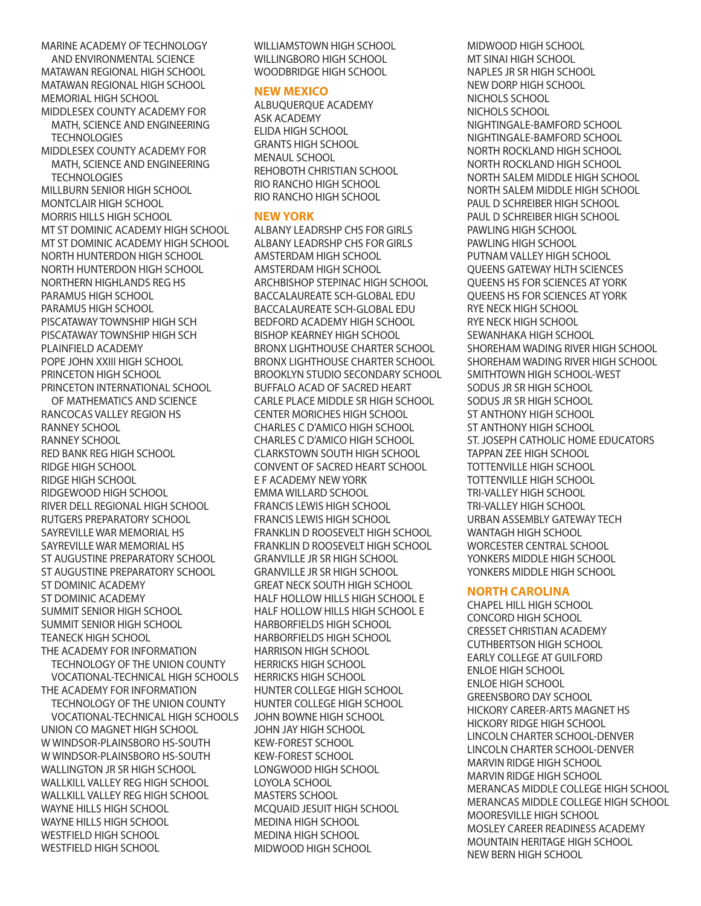MARINE ACADEMY OF TECHNOLOGY AND ENVIRONMENTAL SCIENCE MATAWAN REGIONAL HIGH SCHOOL MATAWAN REGIONAL HIGH SCHOOL MEMORIAL HIGH SCHOOL MIDDLESEX COUNTY ACADEMY FOR

MATH, SCIENCE AND ENGINEERING **TECHNOLOGIES** 

MIDDLESEX COUNTY ACADEMY FOR MATH, SCIENCE AND ENGINEERING **TECHNOLOGIES** 

MILLBURN SENIOR HIGH SCHOOL MONTCLAIR HIGH SCHOOL MORRIS HILLS HIGH SCHOOL MT ST DOMINIC ACADEMY HIGH SCHOOL MT ST DOMINIC ACADEMY HIGH SCHOOL NORTH HUNTERDON HIGH SCHOOL NORTH HUNTERDON HIGH SCHOOL NORTHERN HIGHLANDS REG HS PARAMUS HIGH SCHOOL PARAMUS HIGH SCHOOL PISCATAWAY TOWNSHIP HIGH SCH PISCATAWAY TOWNSHIP HIGH SCH PLAINFIELD ACADEMY POPE JOHN XXIII HIGH SCHOOL PRINCETON HIGH SCHOOL PRINCETON INTERNATIONAL SCHOOL

OF MATHEMATICS AND SCIENCE RANCOCAS VALLEY REGION HS RANNEY SCHOOL RANNEY SCHOOL RED BANK REG HIGH SCHOOL RIDGE HIGH SCHOOL RIDGE HIGH SCHOOL RIDGEWOOD HIGH SCHOOL RIVER DELL REGIONAL HIGH SCHOOL RUTGERS PREPARATORY SCHOOL SAYREVILLE WAR MEMORIAL HS SAYREVILLE WAR MEMORIAL HS ST AUGUSTINE PREPARATORY SCHOOL ST AUGUSTINE PREPARATORY SCHOOL ST DOMINIC ACADEMY ST DOMINIC ACADEMY SUMMIT SENIOR HIGH SCHOOL SUMMIT SENIOR HIGH SCHOOL TEANECK HIGH SCHOOL THE ACADEMY FOR INFORMATION TECHNOLOGY OF THE UNION COUNTY VOCATIONAL-TECHNICAL HIGH SCHOOLS THE ACADEMY FOR INFORMATION TECHNOLOGY OF THE UNION COUNTY VOCATIONAL-TECHNICAL HIGH SCHOOLS UNION CO MAGNET HIGH SCHOOL W WINDSOR-PLAINSBORO HS-SOUTH W WINDSOR-PLAINSBORO HS-SOUTH WALLINGTON JR SR HIGH SCHOOL WALLKILL VALLEY REG HIGH SCHOOL WALLKILL VALLEY REG HIGH SCHOOL WAYNE HILLS HIGH SCHOOL WAYNE HILLS HIGH SCHOOL WESTFIELD HIGH SCHOOL WESTFIELD HIGH SCHOOL

WILLIAMSTOWN HIGH SCHOOL WILLINGBORO HIGH SCHOOL WOODBRIDGE HIGH SCHOOL

## **NEW MEXICO**

ALBUQUERQUE ACADEMY ASK ACADEMY ELIDA HIGH SCHOOL GRANTS HIGH SCHOOL MENAUL SCHOOL REHOBOTH CHRISTIAN SCHOOL RIO RANCHO HIGH SCHOOL RIO RANCHO HIGH SCHOOL

#### **NEW YORK**

ALBANY LEADRSHP CHS FOR GIRLS ALBANY LEADRSHP CHS FOR GIRLS AMSTERDAM HIGH SCHOOL AMSTERDAM HIGH SCHOOL ARCHBISHOP STEPINAC HIGH SCHOOL BACCALAUREATE SCH-GLOBAL EDU BACCALAUREATE SCH-GLOBAL EDU BEDFORD ACADEMY HIGH SCHOOL BISHOP KEARNEY HIGH SCHOOL BRONX LIGHTHOUSE CHARTER SCHOOL BRONX LIGHTHOUSE CHARTER SCHOOL BROOKLYN STUDIO SECONDARY SCHOOL BUFFALO ACAD OF SACRED HEART CARLE PLACE MIDDLE SR HIGH SCHOOL CENTER MORICHES HIGH SCHOOL CHARLES C D'AMICO HIGH SCHOOL CHARLES C D'AMICO HIGH SCHOOL CLARKSTOWN SOUTH HIGH SCHOOL CONVENT OF SACRED HEART SCHOOL E F ACADEMY NEW YORK EMMA WILLARD SCHOOL FRANCIS LEWIS HIGH SCHOOL FRANCIS LEWIS HIGH SCHOOL FRANKLIN D ROOSEVELT HIGH SCHOOL FRANKLIN D ROOSEVELT HIGH SCHOOL GRANVILLE JR SR HIGH SCHOOL GRANVILLE JR SR HIGH SCHOOL GREAT NECK SOUTH HIGH SCHOOL HALF HOLLOW HILLS HIGH SCHOOL E HALF HOLLOW HILLS HIGH SCHOOL E HARBORFIELDS HIGH SCHOOL HARBORFIELDS HIGH SCHOOL HARRISON HIGH SCHOOL HERRICKS HIGH SCHOOL HERRICKS HIGH SCHOOL HUNTER COLLEGE HIGH SCHOOL HUNTER COLLEGE HIGH SCHOOL JOHN BOWNE HIGH SCHOOL JOHN JAY HIGH SCHOOL KEW-FOREST SCHOOL KEW-FOREST SCHOOL LONGWOOD HIGH SCHOOL LOYOLA SCHOOL MASTERS SCHOOL MCQUAID JESUIT HIGH SCHOOL MEDINA HIGH SCHOOL MEDINA HIGH SCHOOL MIDWOOD HIGH SCHOOL

MIDWOOD HIGH SCHOOL MT SINAI HIGH SCHOOL NAPLES JR SR HIGH SCHOOL NEW DORP HIGH SCHOOL NICHOLS SCHOOL NICHOLS SCHOOL NIGHTINGALE-BAMFORD SCHOOL NIGHTINGALE-BAMFORD SCHOOL NORTH ROCKLAND HIGH SCHOOL NORTH ROCKLAND HIGH SCHOOL NORTH SALEM MIDDLE HIGH SCHOOL NORTH SALEM MIDDLE HIGH SCHOOL PAUL D SCHREIBER HIGH SCHOOL PAUL D SCHREIBER HIGH SCHOOL PAWLING HIGH SCHOOL PAWLING HIGH SCHOOL PUTNAM VALLEY HIGH SCHOOL QUEENS GATEWAY HLTH SCIENCES QUEENS HS FOR SCIENCES AT YORK QUEENS HS FOR SCIENCES AT YORK RYE NECK HIGH SCHOOL RYE NECK HIGH SCHOOL SEWANHAKA HIGH SCHOOL SHOREHAM WADING RIVER HIGH SCHOOL SHOREHAM WADING RIVER HIGH SCHOOL SMITHTOWN HIGH SCHOOL-WEST SODUS JR SR HIGH SCHOOL SODUS JR SR HIGH SCHOOL ST ANTHONY HIGH SCHOOL ST ANTHONY HIGH SCHOOL ST. JOSEPH CATHOLIC HOME EDUCATORS TAPPAN ZEE HIGH SCHOOL TOTTENVILLE HIGH SCHOOL TOTTENVILLE HIGH SCHOOL TRI-VALLEY HIGH SCHOOL TRI-VALLEY HIGH SCHOOL URBAN ASSEMBLY GATEWAY TECH WANTAGH HIGH SCHOOL WORCESTER CENTRAL SCHOOL YONKERS MIDDLE HIGH SCHOOL YONKERS MIDDLE HIGH SCHOOL

## **NORTH CAROLINA**

CHAPEL HILL HIGH SCHOOL CONCORD HIGH SCHOOL CRESSET CHRISTIAN ACADEMY CUTHBERTSON HIGH SCHOOL EARLY COLLEGE AT GUILFORD ENLOE HIGH SCHOOL ENLOE HIGH SCHOOL GREENSBORO DAY SCHOOL HICKORY CAREER-ARTS MAGNET HS HICKORY RIDGE HIGH SCHOOL LINCOLN CHARTER SCHOOL-DENVER LINCOLN CHARTER SCHOOL-DENVER MARVIN RIDGE HIGH SCHOOL MARVIN RIDGE HIGH SCHOOL MERANCAS MIDDLE COLLEGE HIGH SCHOOL MERANCAS MIDDLE COLLEGE HIGH SCHOOL MOORESVILLE HIGH SCHOOL MOSLEY CAREER READINESS ACADEMY MOUNTAIN HERITAGE HIGH SCHOOL NEW BERN HIGH SCHOOL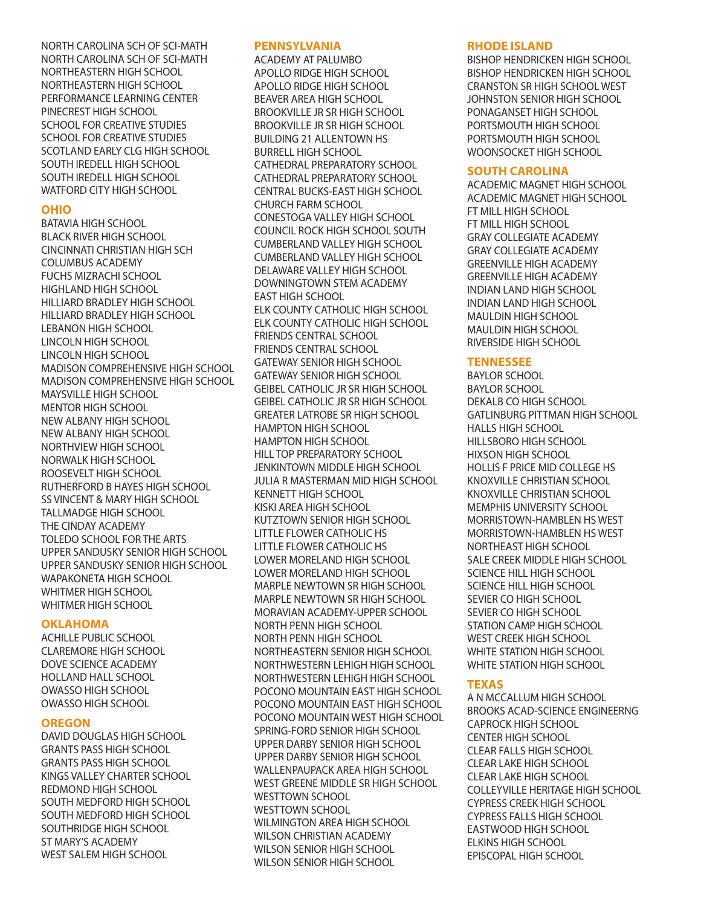NORTH CAROLINA SCH OF SCI-MATH NORTH CAROLINA SCH OF SCI-MATH NORTHEASTERN HIGH SCHOOL NORTHEASTERN HIGH SCHOOL PERFORMANCE LEARNING CENTER PINECREST HIGH SCHOOL SCHOOL FOR CREATIVE STUDIES SCHOOL FOR CREATIVE STUDIES SCOTLAND EARLY CLG HIGH SCHOOL SOUTH IREDELL HIGH SCHOOL SOUTH IREDELL HIGH SCHOOL WATFORD CITY HIGH SCHOOL

#### **OHIO**

BATAVIA HIGH SCHOOL BLACK RIVER HIGH SCHOOL CINCINNATI CHRISTIAN HIGH SCH COLUMBUS ACADEMY FUCHS MIZRACHI SCHOOL HIGHLAND HIGH SCHOOL HILLIARD BRADLEY HIGH SCHOOL HILLIARD BRADLEY HIGH SCHOOL LEBANON HIGH SCHOOL LINCOLN HIGH SCHOOL LINCOLN HIGH SCHOOL MADISON COMPREHENSIVE HIGH SCHOOL MADISON COMPREHENSIVE HIGH SCHOOL MAYSVILLE HIGH SCHOOL MENTOR HIGH SCHOOL NEW ALBANY HIGH SCHOOL NEW ALBANY HIGH SCHOOL NORTHVIEW HIGH SCHOOL NORWALK HIGH SCHOOL ROOSEVELT HIGH SCHOOL RUTHERFORD B HAYES HIGH SCHOOL SS VINCENT & MARY HIGH SCHOOL TALLMADGE HIGH SCHOOL THE CINDAY ACADEMY TOLEDO SCHOOL FOR THE ARTS UPPER SANDUSKY SENIOR HIGH SCHOOL UPPER SANDUSKY SENIOR HIGH SCHOOL WAPAKONETA HIGH SCHOOL WHITMER HIGH SCHOOL WHITMER HIGH SCHOOL

#### **OKLAHOMA**

ACHILLE PUBLIC SCHOOL CLAREMORE HIGH SCHOOL DOVE SCIENCE ACADEMY HOLLAND HALL SCHOOL OWASSO HIGH SCHOOL OWASSO HIGH SCHOOL

#### **OREGON**

DAVID DOUGLAS HIGH SCHOOL GRANTS PASS HIGH SCHOOL GRANTS PASS HIGH SCHOOL KINGS VALLEY CHARTER SCHOOL REDMOND HIGH SCHOOL SOUTH MEDFORD HIGH SCHOOL SOUTH MEDFORD HIGH SCHOOL SOUTHRIDGE HIGH SCHOOL ST MARY'S ACADEMY WEST SALEM HIGH SCHOOL

#### **PENNSYLVANIA**

ACADEMY AT PALUMBO APOLLO RIDGE HIGH SCHOOL APOLLO RIDGE HIGH SCHOOL BEAVER AREA HIGH SCHOOL BROOKVILLE JR SR HIGH SCHOOL BROOKVILLE JR SR HIGH SCHOOL BUILDING 21 ALLENTOWN HS BURRELL HIGH SCHOOL CATHEDRAL PREPARATORY SCHOOL CATHEDRAL PREPARATORY SCHOOL CENTRAL BUCKS-EAST HIGH SCHOOL CHURCH FARM SCHOOL CONESTOGA VALLEY HIGH SCHOOL COUNCIL ROCK HIGH SCHOOL SOUTH CUMBERLAND VALLEY HIGH SCHOOL CUMBERLAND VALLEY HIGH SCHOOL DELAWARE VALLEY HIGH SCHOOL DOWNINGTOWN STEM ACADEMY EAST HIGH SCHOOL ELK COUNTY CATHOLIC HIGH SCHOOL ELK COUNTY CATHOLIC HIGH SCHOOL FRIENDS CENTRAL SCHOOL FRIENDS CENTRAL SCHOOL GATEWAY SENIOR HIGH SCHOOL GATEWAY SENIOR HIGH SCHOOL GEIBEL CATHOLIC JR SR HIGH SCHOOL GEIBEL CATHOLIC JR SR HIGH SCHOOL GREATER LATROBE SR HIGH SCHOOL HAMPTON HIGH SCHOOL HAMPTON HIGH SCHOOL HILL TOP PREPARATORY SCHOOL JENKINTOWN MIDDLE HIGH SCHOOL JULIA R MASTERMAN MID HIGH SCHOOL KENNETT HIGH SCHOOL KISKI AREA HIGH SCHOOL KUTZTOWN SENIOR HIGH SCHOOL LITTLE FLOWER CATHOLIC HS LITTLE FLOWER CATHOLIC HS LOWER MORELAND HIGH SCHOOL LOWER MORELAND HIGH SCHOOL MARPLE NEWTOWN SR HIGH SCHOOL MARPLE NEWTOWN SR HIGH SCHOOL MORAVIAN ACADEMY-UPPER SCHOOL NORTH PENN HIGH SCHOOL NORTH PENN HIGH SCHOOL NORTHEASTERN SENIOR HIGH SCHOOL NORTHWESTERN LEHIGH HIGH SCHOOL NORTHWESTERN LEHIGH HIGH SCHOOL POCONO MOUNTAIN EAST HIGH SCHOOL POCONO MOUNTAIN EAST HIGH SCHOOL POCONO MOUNTAIN WEST HIGH SCHOOL SPRING-FORD SENIOR HIGH SCHOOL UPPER DARBY SENIOR HIGH SCHOOL UPPER DARBY SENIOR HIGH SCHOOL WALLENPAUPACK AREA HIGH SCHOOL WEST GREENE MIDDLE SR HIGH SCHOOL WESTTOWN SCHOOL WESTTOWN SCHOOL WILMINGTON AREA HIGH SCHOOL WILSON CHRISTIAN ACADEMY WILSON SENIOR HIGH SCHOOL WILSON SENIOR HIGH SCHOOL

#### **RHODE ISLAND**

BISHOP HENDRICKEN HIGH SCHOOL BISHOP HENDRICKEN HIGH SCHOOL CRANSTON SR HIGH SCHOOL WEST JOHNSTON SENIOR HIGH SCHOOL PONAGANSET HIGH SCHOOL PORTSMOUTH HIGH SCHOOL PORTSMOUTH HIGH SCHOOL WOONSOCKET HIGH SCHOOL

#### **SOUTH CAROLINA**

ACADEMIC MAGNET HIGH SCHOOL ACADEMIC MAGNET HIGH SCHOOL FT MILL HIGH SCHOOL FT MILL HIGH SCHOOL GRAY COLLEGIATE ACADEMY GRAY COLLEGIATE ACADEMY GREENVILLE HIGH ACADEMY GREENVILLE HIGH ACADEMY INDIAN LAND HIGH SCHOOL INDIAN LAND HIGH SCHOOL MAULDIN HIGH SCHOOL MAULDIN HIGH SCHOOL RIVERSIDE HIGH SCHOOL

#### **TENNESSEE**

BAYLOR SCHOOL BAYLOR SCHOOL DEKALB CO HIGH SCHOOL GATLINBURG PITTMAN HIGH SCHOOL HALLS HIGH SCHOOL HILLSBORO HIGH SCHOOL HIXSON HIGH SCHOOL HOLLIS F PRICE MID COLLEGE HS KNOXVILLE CHRISTIAN SCHOOL KNOXVILLE CHRISTIAN SCHOOL MEMPHIS UNIVERSITY SCHOOL MORRISTOWN-HAMBLEN HS WEST MORRISTOWN-HAMBLEN HS WEST NORTHEAST HIGH SCHOOL SALE CREEK MIDDLE HIGH SCHOOL SCIENCE HILL HIGH SCHOOL SCIENCE HILL HIGH SCHOOL SEVIER CO HIGH SCHOOL SEVIER CO HIGH SCHOOL STATION CAMP HIGH SCHOOL WEST CREEK HIGH SCHOOL WHITE STATION HIGH SCHOOL WHITE STATION HIGH SCHOOL

#### **TEXAS**

A N MCCALLUM HIGH SCHOOL BROOKS ACAD-SCIENCE ENGINEERNG CAPROCK HIGH SCHOOL CENTER HIGH SCHOOL CLEAR FALLS HIGH SCHOOL CLEAR LAKE HIGH SCHOOL CLEAR LAKE HIGH SCHOOL COLLEYVILLE HERITAGE HIGH SCHOOL CYPRESS CREEK HIGH SCHOOL CYPRESS FALLS HIGH SCHOOL EASTWOOD HIGH SCHOOL ELKINS HIGH SCHOOL EPISCOPAL HIGH SCHOOL